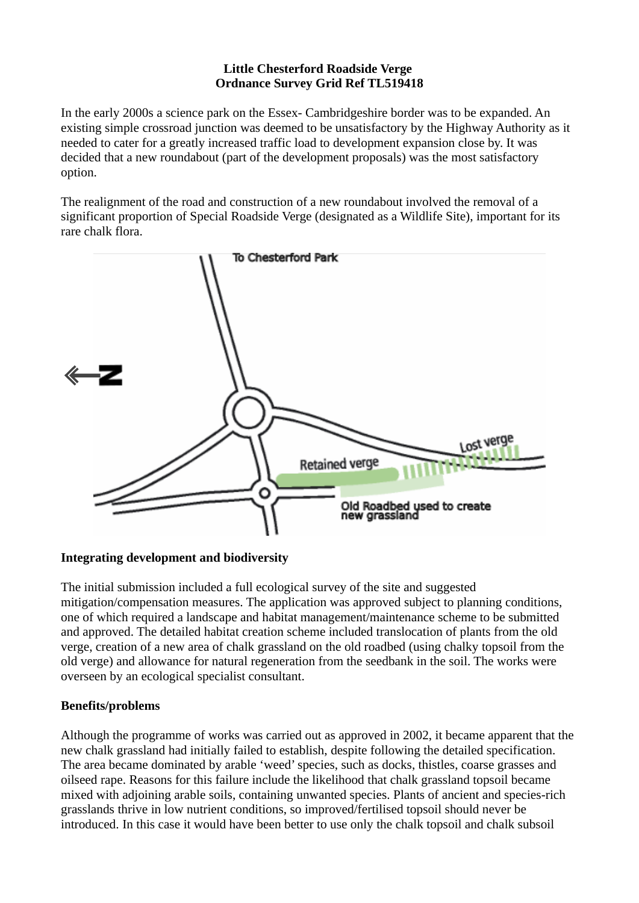## **Little Chesterford Roadside Verge Ordnance Survey Grid Ref TL519418**

In the early 2000s a science park on the Essex- Cambridgeshire border was to be expanded. An existing simple crossroad junction was deemed to be unsatisfactory by the Highway Authority as it needed to cater for a greatly increased traffic load to development expansion close by. It was decided that a new roundabout (part of the development proposals) was the most satisfactory option.

The realignment of the road and construction of a new roundabout involved the removal of a significant proportion of Special Roadside Verge (designated as a Wildlife Site), important for its rare chalk flora.



## **Integrating development and biodiversity**

The initial submission included a full ecological survey of the site and suggested mitigation/compensation measures. The application was approved subject to planning conditions, one of which required a landscape and habitat management/maintenance scheme to be submitted and approved. The detailed habitat creation scheme included translocation of plants from the old verge, creation of a new area of chalk grassland on the old roadbed (using chalky topsoil from the old verge) and allowance for natural regeneration from the seedbank in the soil. The works were overseen by an ecological specialist consultant.

## **Benefits/problems**

Although the programme of works was carried out as approved in 2002, it became apparent that the new chalk grassland had initially failed to establish, despite following the detailed specification. The area became dominated by arable 'weed' species, such as docks, thistles, coarse grasses and oilseed rape. Reasons for this failure include the likelihood that chalk grassland topsoil became mixed with adjoining arable soils, containing unwanted species. Plants of ancient and species-rich grasslands thrive in low nutrient conditions, so improved/fertilised topsoil should never be introduced. In this case it would have been better to use only the chalk topsoil and chalk subsoil